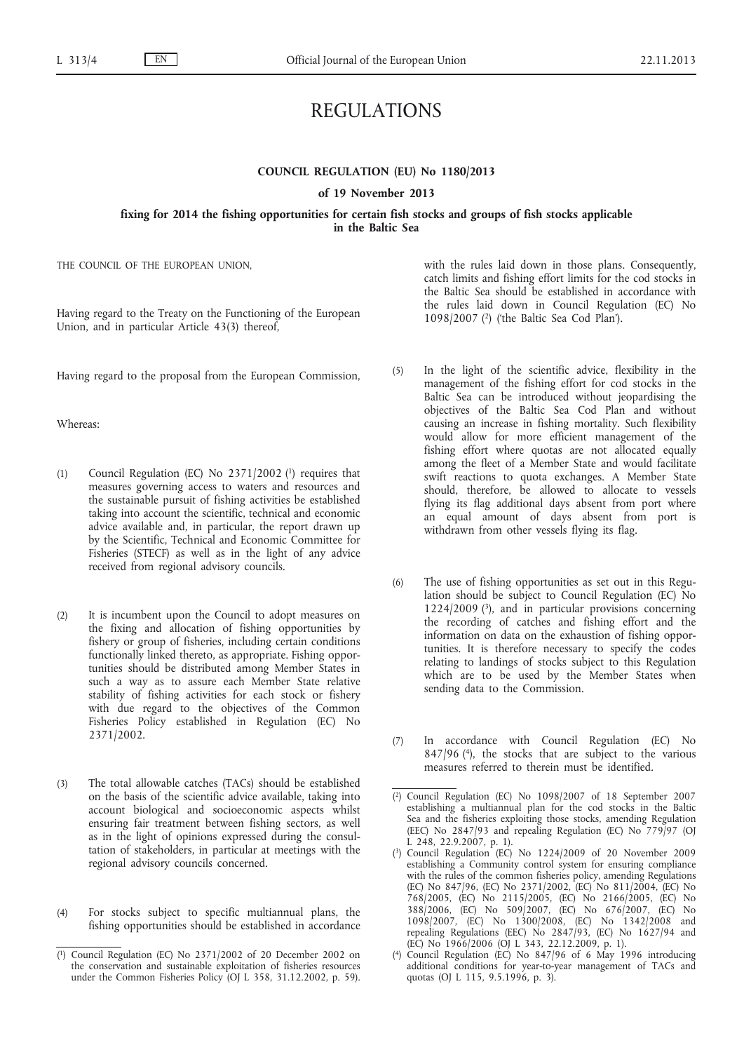# REGULATIONS

# **COUNCIL REGULATION (EU) No 1180/2013**

#### **of 19 November 2013**

# **fixing for 2014 the fishing opportunities for certain fish stocks and groups of fish stocks applicable in the Baltic Sea**

THE COUNCIL OF THE EUROPEAN UNION,

Having regard to the Treaty on the Functioning of the European Union, and in particular Article 43(3) thereof,

Having regard to the proposal from the European Commission,

Whereas:

- (1) Council Regulation (EC) No 2371/2002 (1) requires that measures governing access to waters and resources and the sustainable pursuit of fishing activities be established taking into account the scientific, technical and economic advice available and, in particular, the report drawn up by the Scientific, Technical and Economic Committee for Fisheries (STECF) as well as in the light of any advice received from regional advisory councils.
- (2) It is incumbent upon the Council to adopt measures on the fixing and allocation of fishing opportunities by fishery or group of fisheries, including certain conditions functionally linked thereto, as appropriate. Fishing opportunities should be distributed among Member States in such a way as to assure each Member State relative stability of fishing activities for each stock or fishery with due regard to the objectives of the Common Fisheries Policy established in Regulation (EC) No 2371/2002.
- (3) The total allowable catches (TACs) should be established on the basis of the scientific advice available, taking into account biological and socioeconomic aspects whilst ensuring fair treatment between fishing sectors, as well as in the light of opinions expressed during the consultation of stakeholders, in particular at meetings with the regional advisory councils concerned.
- (4) For stocks subject to specific multiannual plans, the fishing opportunities should be established in accordance

with the rules laid down in those plans. Consequently, catch limits and fishing effort limits for the cod stocks in the Baltic Sea should be established in accordance with the rules laid down in Council Regulation (EC) No 1098/2007 (2) ('the Baltic Sea Cod Plan').

- (5) In the light of the scientific advice, flexibility in the management of the fishing effort for cod stocks in the Baltic Sea can be introduced without jeopardising the objectives of the Baltic Sea Cod Plan and without causing an increase in fishing mortality. Such flexibility would allow for more efficient management of the fishing effort where quotas are not allocated equally among the fleet of a Member State and would facilitate swift reactions to quota exchanges. A Member State should, therefore, be allowed to allocate to vessels flying its flag additional days absent from port where an equal amount of days absent from port is withdrawn from other vessels flying its flag.
- (6) The use of fishing opportunities as set out in this Regulation should be subject to Council Regulation (EC) No 1224/2009 $(3)$ , and in particular provisions concerning the recording of catches and fishing effort and the information on data on the exhaustion of fishing opportunities. It is therefore necessary to specify the codes relating to landings of stocks subject to this Regulation which are to be used by the Member States when sending data to the Commission.
- (7) In accordance with Council Regulation (EC) No 847/96 (4), the stocks that are subject to the various measures referred to therein must be identified.

( 4) Council Regulation (EC) No 847/96 of 6 May 1996 introducing additional conditions for year-to-year management of TACs and quotas (OJ L 115, 9.5.1996, p. 3).

 $(1)$ 1) Council Regulation (EC) No 2371/2002 of 20 December 2002 on the conservation and sustainable exploitation of fisheries resources under the Common Fisheries Policy (OJ L 358, 31.12.2002, p. 59).

<sup>(</sup> 2) Council Regulation (EC) No 1098/2007 of 18 September 2007 establishing a multiannual plan for the cod stocks in the Baltic Sea and the fisheries exploiting those stocks, amending Regulation (EEC) No 2847/93 and repealing Regulation (EC) No 779/97 (OJ L 248, 22.9.2007, p. 1).

<sup>(</sup> 3) Council Regulation (EC) No 1224/2009 of 20 November 2009 establishing a Community control system for ensuring compliance with the rules of the common fisheries policy, amending Regulations (EC) No 847/96, (EC) No 2371/2002, (EC) No 811/2004, (EC) No 768/2005, (EC) No 2115/2005, (EC) No 2166/2005, (EC) No 388/2006, (EC) No 509/2007, (EC) No 676/2007, (EC) No 1098/2007, (EC) No 1300/2008, (EC) No 1342/2008 and repealing Regulations (EEC) No 2847/93, (EC) No 1627/94 and (EC) No  $1966/2006$  (OJ L 343, 22.12.2009, p. 1).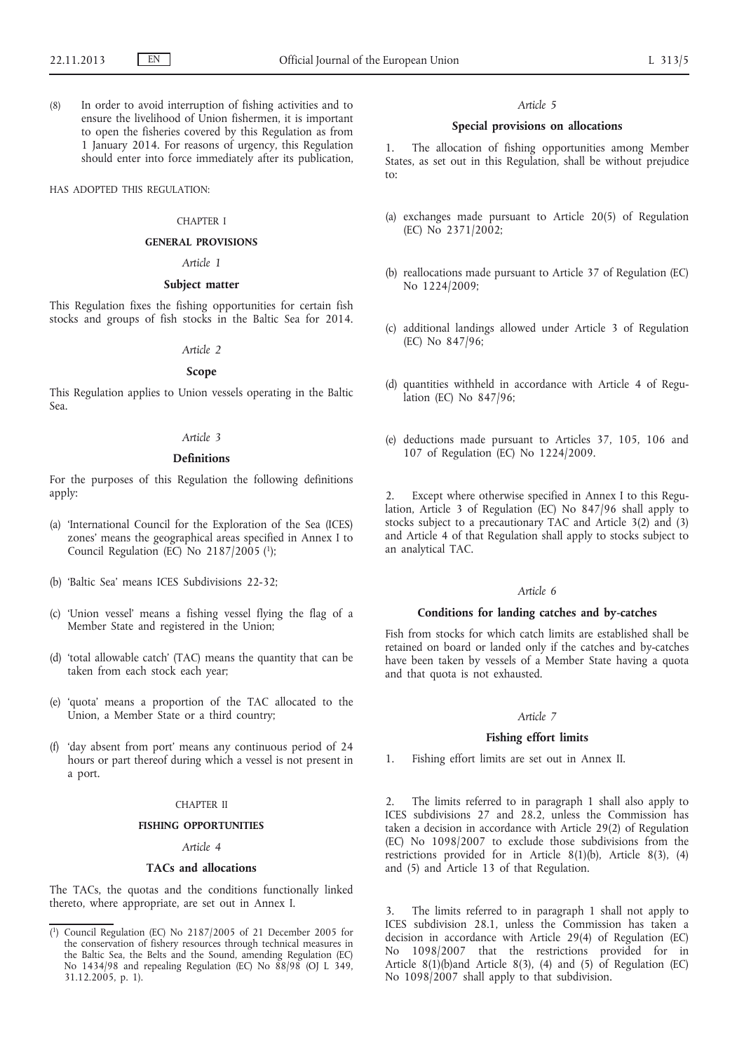(8) In order to avoid interruption of fishing activities and to ensure the livelihood of Union fishermen, it is important to open the fisheries covered by this Regulation as from 1 January 2014. For reasons of urgency, this Regulation should enter into force immediately after its publication,

HAS ADOPTED THIS REGULATION:

#### CHAPTER I

#### **GENERAL PROVISIONS**

#### *Article 1*

### **Subject matter**

This Regulation fixes the fishing opportunities for certain fish stocks and groups of fish stocks in the Baltic Sea for 2014.

### *Article 2*

#### **Scope**

This Regulation applies to Union vessels operating in the Baltic Sea.

#### *Article 3*

#### **Definitions**

For the purposes of this Regulation the following definitions apply:

- (a) 'International Council for the Exploration of the Sea (ICES) zones' means the geographical areas specified in Annex I to Council Regulation (EC) No  $2187/2005$  (1);
- (b) 'Baltic Sea' means ICES Subdivisions 22-32;
- (c) 'Union vessel' means a fishing vessel flying the flag of a Member State and registered in the Union;
- (d) 'total allowable catch' (TAC) means the quantity that can be taken from each stock each year;
- (e) 'quota' means a proportion of the TAC allocated to the Union, a Member State or a third country;
- (f) 'day absent from port' means any continuous period of 24 hours or part thereof during which a vessel is not present in a port.

#### CHAPTER II

### **FISHING OPPORTUNITIES**

### *Article 4*

### **TACs and allocations**

The TACs, the quotas and the conditions functionally linked thereto, where appropriate, are set out in Annex I.

#### *Article 5*

### **Special provisions on allocations**

1. The allocation of fishing opportunities among Member States, as set out in this Regulation, shall be without prejudice to:

- (a) exchanges made pursuant to Article 20(5) of Regulation (EC) No 2371/2002;
- (b) reallocations made pursuant to Article 37 of Regulation (EC) No 1224/2009;
- (c) additional landings allowed under Article 3 of Regulation (EC) No 847/96;
- (d) quantities withheld in accordance with Article 4 of Regulation (EC) No 847/96;
- (e) deductions made pursuant to Articles 37, 105, 106 and 107 of Regulation (EC) No 1224/2009.

2. Except where otherwise specified in Annex I to this Regulation, Article 3 of Regulation (EC) No 847/96 shall apply to stocks subject to a precautionary TAC and Article 3(2) and (3) and Article 4 of that Regulation shall apply to stocks subject to an analytical TAC.

#### *Article 6*

### **Conditions for landing catches and by-catches**

Fish from stocks for which catch limits are established shall be retained on board or landed only if the catches and by-catches have been taken by vessels of a Member State having a quota and that quota is not exhausted.

### *Article 7*

### **Fishing effort limits**

1. Fishing effort limits are set out in Annex II.

2. The limits referred to in paragraph 1 shall also apply to ICES subdivisions 27 and 28.2, unless the Commission has taken a decision in accordance with Article 29(2) of Regulation (EC) No 1098/2007 to exclude those subdivisions from the restrictions provided for in Article 8(1)(b), Article 8(3), (4) and (5) and Article 13 of that Regulation.

The limits referred to in paragraph 1 shall not apply to ICES subdivision 28.1, unless the Commission has taken a decision in accordance with Article 29(4) of Regulation (EC) No 1098/2007 that the restrictions provided for in Article 8(1)(b)and Article 8(3), (4) and (5) of Regulation (EC) No 1098/2007 shall apply to that subdivision.

<sup>(</sup> 1) Council Regulation (EC) No 2187/2005 of 21 December 2005 for the conservation of fishery resources through technical measures in the Baltic Sea, the Belts and the Sound, amending Regulation (EC) No 1434/98 and repealing Regulation (EC) No 88/98 (OJ L 349, 31.12.2005, p. 1).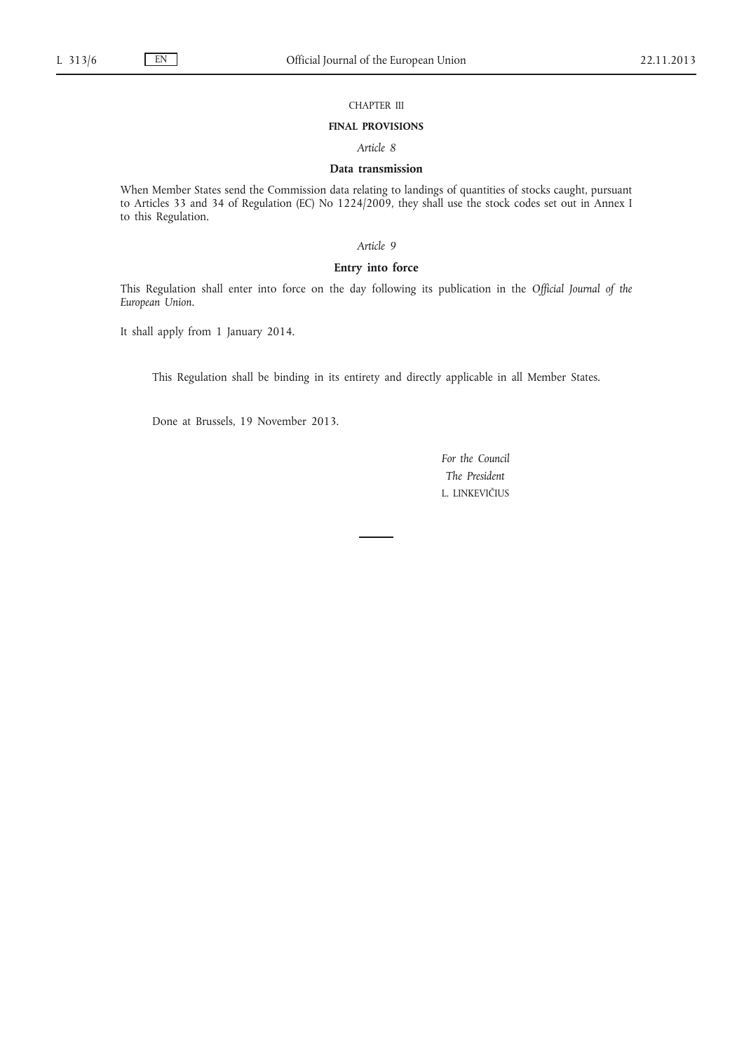### CHAPTER III

#### **FINAL PROVISIONS**

*Article 8*

## **Data transmission**

When Member States send the Commission data relating to landings of quantities of stocks caught, pursuant to Articles 33 and 34 of Regulation (EC) No 1224/2009, they shall use the stock codes set out in Annex I to this Regulation.

### *Article 9*

# **Entry into force**

This Regulation shall enter into force on the day following its publication in the *Official Journal of the European Union*.

It shall apply from 1 January 2014.

This Regulation shall be binding in its entirety and directly applicable in all Member States.

Done at Brussels, 19 November 2013.

*For the Council The President* L. LINKEVIČIUS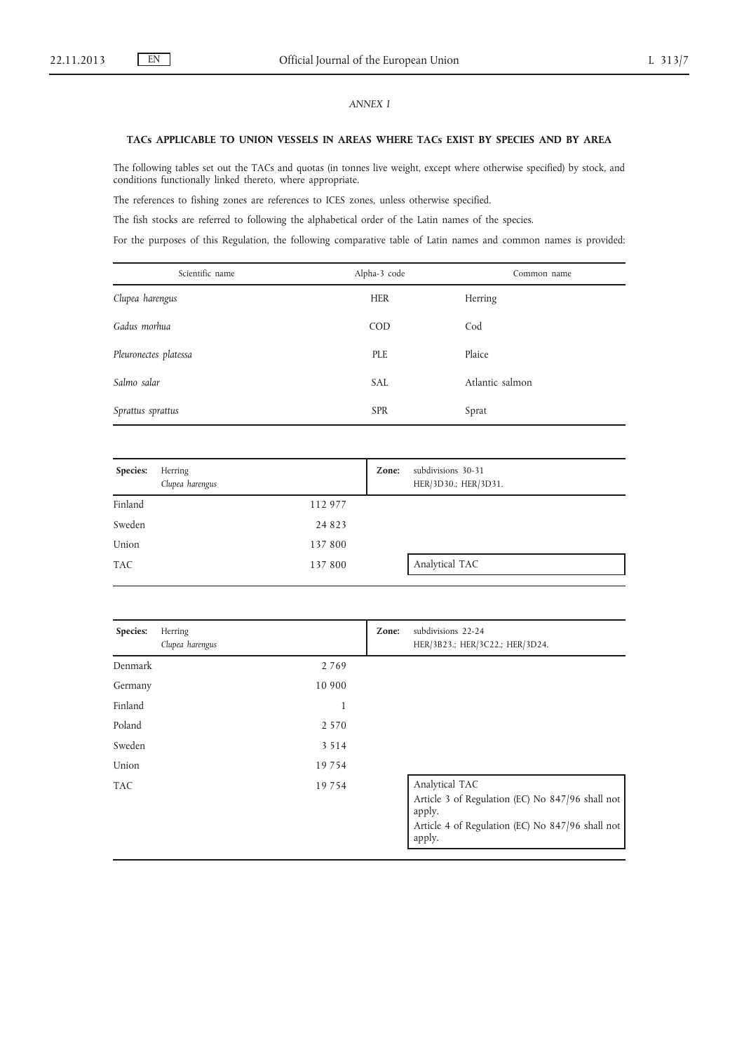# *ANNEX I*

### **TACs APPLICABLE TO UNION VESSELS IN AREAS WHERE TACs EXIST BY SPECIES AND BY AREA**

The following tables set out the TACs and quotas (in tonnes live weight, except where otherwise specified) by stock, and conditions functionally linked thereto, where appropriate.

The references to fishing zones are references to ICES zones, unless otherwise specified.

The fish stocks are referred to following the alphabetical order of the Latin names of the species.

For the purposes of this Regulation, the following comparative table of Latin names and common names is provided:

| Scientific name       | Alpha-3 code | Common name     |
|-----------------------|--------------|-----------------|
| Clupea harengus       | <b>HER</b>   | Herring         |
| Gadus morhua          | <b>COD</b>   | Cod             |
| Pleuronectes platessa | PLE          | Plaice          |
| Salmo salar           | <b>SAL</b>   | Atlantic salmon |
| Sprattus sprattus     | <b>SPR</b>   | Sprat           |

| Species:   | Herring<br>Clupea harengus |         | Zone: | subdivisions 30-31<br>HER/3D30.; HER/3D31. |
|------------|----------------------------|---------|-------|--------------------------------------------|
| Finland    |                            | 112 977 |       |                                            |
| Sweden     |                            | 24 8 23 |       |                                            |
| Union      |                            | 137 800 |       |                                            |
| <b>TAC</b> |                            | 137 800 |       | Analytical TAC                             |

| Species:   | Herring<br>Clupea harengus | Zone: | subdivisions 22-24<br>HER/3B23.; HER/3C22.; HER/3D24.                                                                                      |
|------------|----------------------------|-------|--------------------------------------------------------------------------------------------------------------------------------------------|
| Denmark    | 2 7 6 9                    |       |                                                                                                                                            |
| Germany    | 10 900                     |       |                                                                                                                                            |
| Finland    | 1                          |       |                                                                                                                                            |
| Poland     | 2 5 7 0                    |       |                                                                                                                                            |
| Sweden     | 3 5 1 4                    |       |                                                                                                                                            |
| Union      | 19 7 5 4                   |       |                                                                                                                                            |
| <b>TAC</b> | 19 7 5 4                   |       | Analytical TAC<br>Article 3 of Regulation (EC) No 847/96 shall not<br>apply.<br>Article 4 of Regulation (EC) No 847/96 shall not<br>apply. |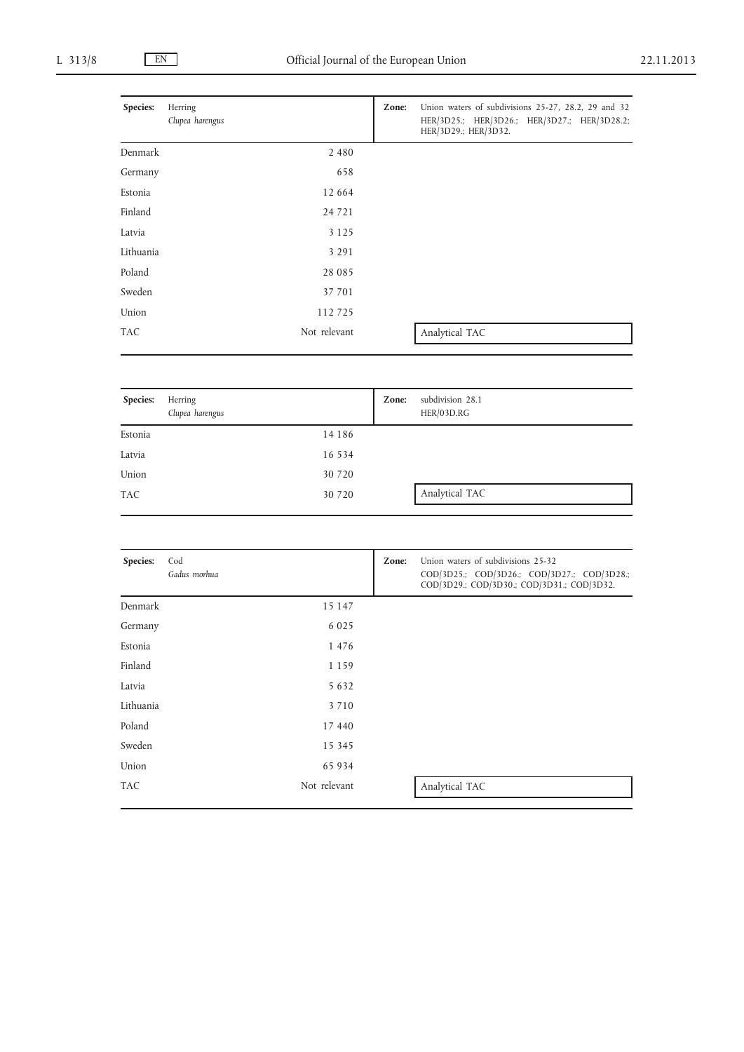| Species:   | Herring<br>Clupea harengus | Zone: | Union waters of subdivisions 25-27, 28.2, 29 and 32<br>HER/3D25.; HER/3D26.; HER/3D27.; HER/3D28.2;<br>HER/3D29.; HER/3D32. |
|------------|----------------------------|-------|-----------------------------------------------------------------------------------------------------------------------------|
| Denmark    | 2 4 8 0                    |       |                                                                                                                             |
| Germany    | 658                        |       |                                                                                                                             |
| Estonia    | 12 664                     |       |                                                                                                                             |
| Finland    | 24 7 21                    |       |                                                                                                                             |
| Latvia     | 3 1 2 5                    |       |                                                                                                                             |
| Lithuania  | 3 2 9 1                    |       |                                                                                                                             |
| Poland     | 28 0 8 5                   |       |                                                                                                                             |
| Sweden     | 37 701                     |       |                                                                                                                             |
| Union      | 112725                     |       |                                                                                                                             |
| <b>TAC</b> | Not relevant               |       | Analytical TAC                                                                                                              |

| Species: | Herring<br>Clupea harengus |          | Zone: | subdivision 28.1<br>HER/03D.RG |  |
|----------|----------------------------|----------|-------|--------------------------------|--|
| Estonia  |                            | 14 18 6  |       |                                |  |
| Latvia   |                            | 16 5 3 4 |       |                                |  |
| Union    |                            | 30 7 20  |       |                                |  |
| TAC      |                            | 30 7 20  |       | Analytical TAC                 |  |

| Species:   | Cod<br>Gadus morhua | Zone: | Union waters of subdivisions 25-32<br>COD/3D25.; COD/3D26.; COD/3D27.; COD/3D28.;<br>COD/3D29.; COD/3D30.; COD/3D31.; COD/3D32. |
|------------|---------------------|-------|---------------------------------------------------------------------------------------------------------------------------------|
| Denmark    | 15 147              |       |                                                                                                                                 |
| Germany    | 6 0 2 5             |       |                                                                                                                                 |
| Estonia    | 1 4 7 6             |       |                                                                                                                                 |
| Finland    | 1 1 5 9             |       |                                                                                                                                 |
| Latvia     | 5 6 3 2             |       |                                                                                                                                 |
| Lithuania  | 3 7 1 0             |       |                                                                                                                                 |
| Poland     | 17 440              |       |                                                                                                                                 |
| Sweden     | 15 3 45             |       |                                                                                                                                 |
| Union      | 65 934              |       |                                                                                                                                 |
| <b>TAC</b> | Not relevant        |       | Analytical TAC                                                                                                                  |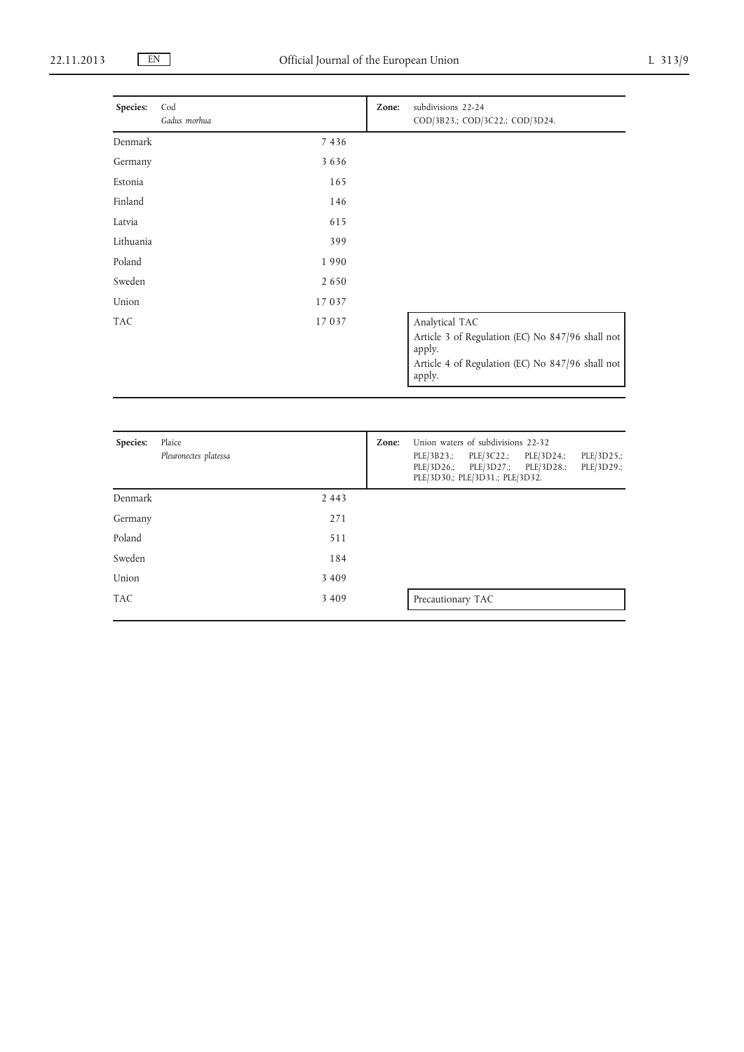| Species:   | Cod<br>Gadus morhua | Zone: | subdivisions 22-24<br>COD/3B23.; COD/3C22.; COD/3D24.      |
|------------|---------------------|-------|------------------------------------------------------------|
| Denmark    | 7 4 3 6             |       |                                                            |
| Germany    | 3636                |       |                                                            |
| Estonia    | 165                 |       |                                                            |
| Finland    | 146                 |       |                                                            |
| Latvia     | 615                 |       |                                                            |
| Lithuania  | 399                 |       |                                                            |
| Poland     | 1990                |       |                                                            |
| Sweden     | 2650                |       |                                                            |
| Union      | 17037               |       |                                                            |
| <b>TAC</b> | 17037               |       | Analytical TAC                                             |
|            |                     |       | Article 3 of Regulation (EC) No 847/96 shall not<br>apply. |
|            |                     |       | Article 4 of Regulation (EC) No 847/96 shall not<br>apply. |

| Species:   | Plaice<br>Pleuronectes platessa | Zone: | Union waters of subdivisions 22-32<br>PLE/3B23.; PLE/3C22.; PLE/3D24.;<br>PLE/3D25.;<br>PLE/3D26.; PLE/3D27.; PLE/3D28.;<br>PLE/3D29.;<br>PLE/3D30.; PLE/3D31.; PLE/3D32. |
|------------|---------------------------------|-------|---------------------------------------------------------------------------------------------------------------------------------------------------------------------------|
| Denmark    | 2 4 4 3                         |       |                                                                                                                                                                           |
| Germany    | 271                             |       |                                                                                                                                                                           |
| Poland     | 511                             |       |                                                                                                                                                                           |
| Sweden     | 184                             |       |                                                                                                                                                                           |
| Union      | 3 4 0 9                         |       |                                                                                                                                                                           |
| <b>TAC</b> | 3 4 0 9                         |       | Precautionary TAC                                                                                                                                                         |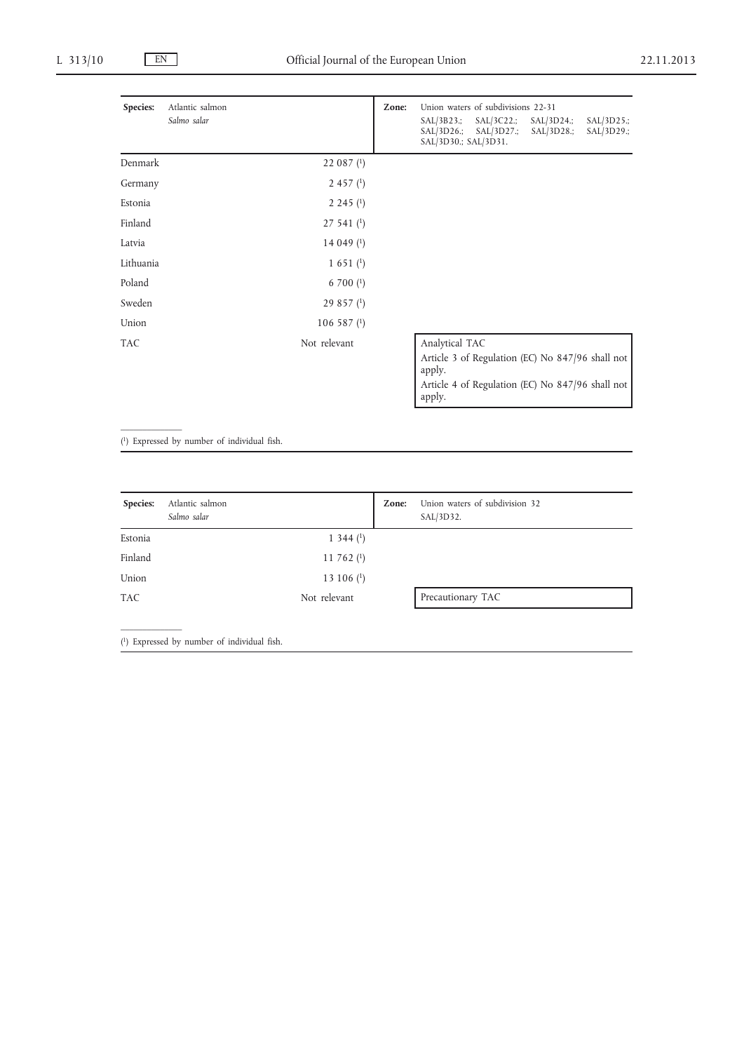| Species:   | Atlantic salmon<br>Salmo salar |                            | Zone: | Union waters of subdivisions 22-31<br>$SAL/3B23$ .;<br>$SAL/3C22$ .;<br>$SAL/3D24$ .;<br>$SAL/3D25$ .;<br>$SAL/3D26$ .;<br>$SAL/3D27$ .;<br>$SAL/3D28$ .;<br>SAL/3D29.;<br>SAL/3D30.; SAL/3D31. |
|------------|--------------------------------|----------------------------|-------|-------------------------------------------------------------------------------------------------------------------------------------------------------------------------------------------------|
| Denmark    |                                | 22 087 $(1)$               |       |                                                                                                                                                                                                 |
| Germany    |                                | $2457$ (1)                 |       |                                                                                                                                                                                                 |
| Estonia    |                                | 2,245(1)                   |       |                                                                                                                                                                                                 |
| Finland    |                                | $27541$ ( <sup>1</sup> )   |       |                                                                                                                                                                                                 |
| Latvia     |                                | 14 049 $(1)$               |       |                                                                                                                                                                                                 |
| Lithuania  |                                | $1\;651\;$ <sup>(1</sup> ) |       |                                                                                                                                                                                                 |
| Poland     |                                | 6 700 $(1)$                |       |                                                                                                                                                                                                 |
| Sweden     |                                | $29857$ (1)                |       |                                                                                                                                                                                                 |
| Union      |                                | $106587$ <sup>(1)</sup>    |       |                                                                                                                                                                                                 |
| <b>TAC</b> |                                | Not relevant               |       | Analytical TAC<br>Article 3 of Regulation (EC) No 847/96 shall not<br>apply.<br>Article 4 of Regulation (EC) No 847/96 shall not<br>apply.                                                      |

( 1) Expressed by number of individual fish.

 $\mathcal{L}=\mathcal{L}$ 

 $\frac{1}{2}$ 

| Species:   | Atlantic salmon<br>Salmo salar | Zone: | Union waters of subdivision 32<br>SAL/3D32. |
|------------|--------------------------------|-------|---------------------------------------------|
| Estonia    | $1\,344\,(1)$                  |       |                                             |
| Finland    | 11 762 $(1)$                   |       |                                             |
| Union      | 13 106 $(1)$                   |       |                                             |
| <b>TAC</b> | Not relevant                   |       | Precautionary TAC                           |
|            |                                |       |                                             |

( 1) Expressed by number of individual fish.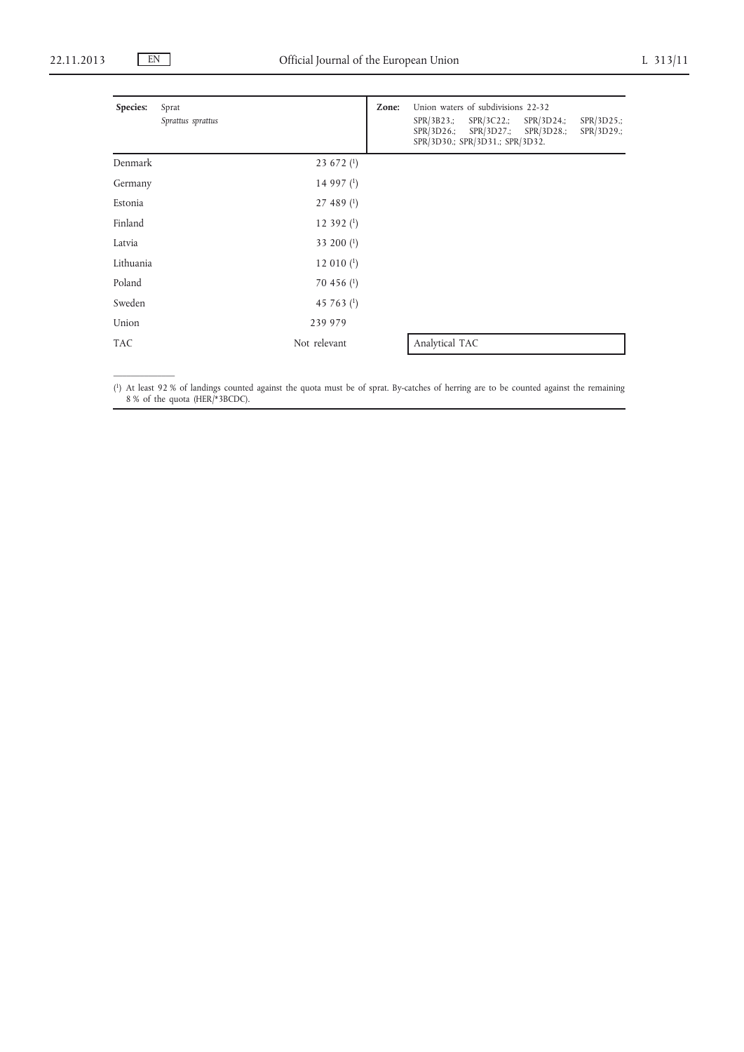$\mathcal{L}=\mathcal{L}$ 

| Species:   | Sprat<br>Sprattus sprattus | Zone:        | $SPR/3B23$ .;<br>SPR/3D26.; | Union waters of subdivisions 22-32<br>$SPR/3C22$ .;<br>SPR/3D27.;<br>SPR/3D30.; SPR/3D31.; SPR/3D32. | $SPR/3D24$ .;<br>SPR/3D28.; | $SPR/3D25$ .;<br>$SPR/3D29$ .; |
|------------|----------------------------|--------------|-----------------------------|------------------------------------------------------------------------------------------------------|-----------------------------|--------------------------------|
| Denmark    |                            | 23 672 $(1)$ |                             |                                                                                                      |                             |                                |
| Germany    |                            | 14 997 $(1)$ |                             |                                                                                                      |                             |                                |
| Estonia    |                            | $27489$ (1)  |                             |                                                                                                      |                             |                                |
| Finland    |                            | 12 392 $(1)$ |                             |                                                                                                      |                             |                                |
| Latvia     |                            | 33 200 (1)   |                             |                                                                                                      |                             |                                |
| Lithuania  |                            | 12 010 $(1)$ |                             |                                                                                                      |                             |                                |
| Poland     |                            | 70 456 $(1)$ |                             |                                                                                                      |                             |                                |
| Sweden     |                            | 45 763 $(1)$ |                             |                                                                                                      |                             |                                |
| Union      |                            | 239 979      |                             |                                                                                                      |                             |                                |
| <b>TAC</b> | Not relevant               |              | Analytical TAC              |                                                                                                      |                             |                                |

( 1) At least 92 % of landings counted against the quota must be of sprat. By-catches of herring are to be counted against the remaining 8 % of the quota (HER/\*3BCDC).